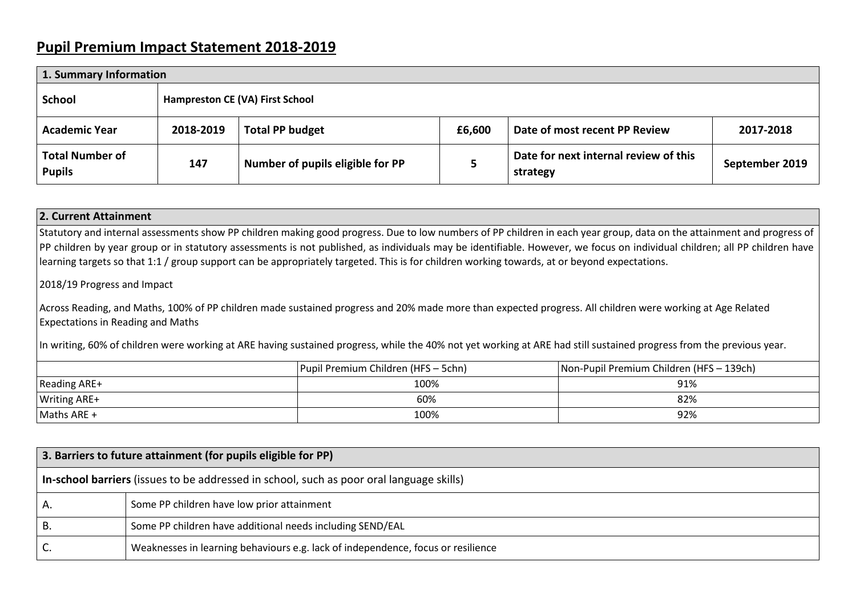## **Pupil Premium Impact Statement 2018-2019**

| 1. Summary Information                  |                                 |                                  |        |                                                   |                |  |  |
|-----------------------------------------|---------------------------------|----------------------------------|--------|---------------------------------------------------|----------------|--|--|
| <b>School</b>                           | Hampreston CE (VA) First School |                                  |        |                                                   |                |  |  |
| <b>Academic Year</b>                    | 2018-2019                       | <b>Total PP budget</b>           | £6,600 | Date of most recent PP Review                     | 2017-2018      |  |  |
| <b>Total Number of</b><br><b>Pupils</b> | 147                             | Number of pupils eligible for PP |        | Date for next internal review of this<br>strategy | September 2019 |  |  |

**2. Current Attainment** Statutory and internal assessments show PP children making good progress. Due to low numbers of PP children in each year group, data on the attainment and progress of PP children by year group or in statutory assessments is not published, as individuals may be identifiable. However, we focus on individual children; all PP children have learning targets so that 1:1 / group support can be appropriately targeted. This is for children working towards, at or beyond expectations.

2018/19 Progress and Impact

Across Reading, and Maths, 100% of PP children made sustained progress and 20% made more than expected progress. All children were working at Age Related Expectations in Reading and Maths

In writing, 60% of children were working at ARE having sustained progress, while the 40% not yet working at ARE had still sustained progress from the previous year.

|                     | Pupil Premium Children (HFS - 5chn) | Non-Pupil Premium Children (HFS - 139ch) |
|---------------------|-------------------------------------|------------------------------------------|
| Reading ARE+        | 100%                                | 91%                                      |
| <b>Writing ARE+</b> | 60%                                 | 82%                                      |
| Maths ARE +         | 100%                                | 92%                                      |

| 3. Barriers to future attainment (for pupils eligible for PP)                            |                                                                                  |  |  |
|------------------------------------------------------------------------------------------|----------------------------------------------------------------------------------|--|--|
| In-school barriers (issues to be addressed in school, such as poor oral language skills) |                                                                                  |  |  |
|                                                                                          | Some PP children have low prior attainment                                       |  |  |
| D.                                                                                       | Some PP children have additional needs including SEND/EAL                        |  |  |
|                                                                                          | Weaknesses in learning behaviours e.g. lack of independence, focus or resilience |  |  |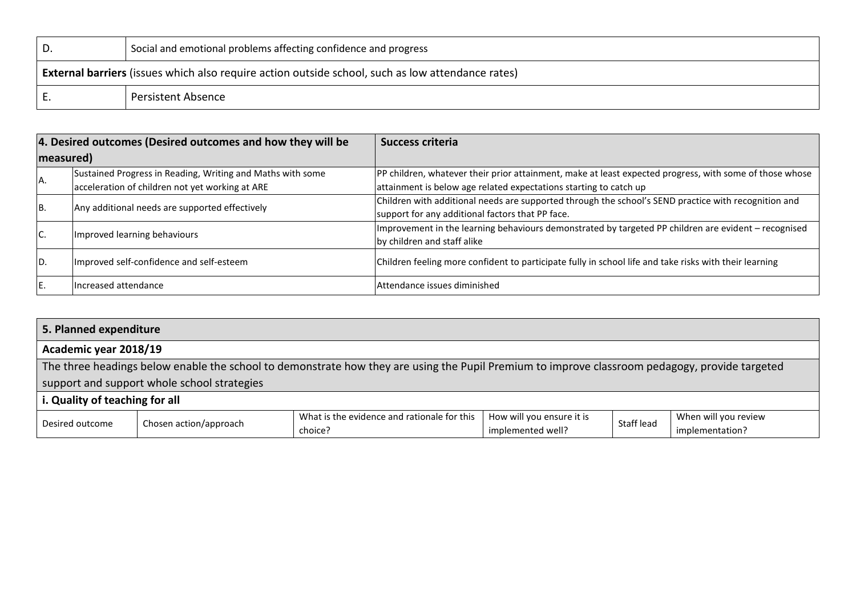| υ | Social and emotional problems affecting confidence and progress                                          |
|---|----------------------------------------------------------------------------------------------------------|
|   | <b>External barriers</b> (issues which also require action outside school, such as low attendance rates) |
|   | <b>Persistent Absence</b>                                                                                |

|           | 4. Desired outcomes (Desired outcomes and how they will be | <b>Success criteria</b>                                                                                 |  |  |
|-----------|------------------------------------------------------------|---------------------------------------------------------------------------------------------------------|--|--|
| measured) |                                                            |                                                                                                         |  |  |
|           | Sustained Progress in Reading, Writing and Maths with some | PP children, whatever their prior attainment, make at least expected progress, with some of those whose |  |  |
| AA.       | acceleration of children not yet working at ARE            | attainment is below age related expectations starting to catch up                                       |  |  |
| IB.       | Any additional needs are supported effectively             | Children with additional needs are supported through the school's SEND practice with recognition and    |  |  |
|           |                                                            | support for any additional factors that PP face.                                                        |  |  |
| IC.       | Improved learning behaviours                               | Improvement in the learning behaviours demonstrated by targeted PP children are evident - recognised    |  |  |
|           |                                                            | by children and staff alike                                                                             |  |  |
| D.        | Improved self-confidence and self-esteem                   | Children feeling more confident to participate fully in school life and take risks with their learning  |  |  |
|           |                                                            |                                                                                                         |  |  |
| IE.       | Increased attendance                                       | lAttendance issues diminished                                                                           |  |  |

| 5. Planned expenditure         |                                                                                                                                                |                                             |                           |            |                      |  |
|--------------------------------|------------------------------------------------------------------------------------------------------------------------------------------------|---------------------------------------------|---------------------------|------------|----------------------|--|
|                                | Academic year 2018/19                                                                                                                          |                                             |                           |            |                      |  |
|                                | The three headings below enable the school to demonstrate how they are using the Pupil Premium to improve classroom pedagogy, provide targeted |                                             |                           |            |                      |  |
|                                | support and support whole school strategies                                                                                                    |                                             |                           |            |                      |  |
| i. Quality of teaching for all |                                                                                                                                                |                                             |                           |            |                      |  |
| Desired outcome                | Chosen action/approach                                                                                                                         | What is the evidence and rationale for this | How will you ensure it is | Staff lead | When will you review |  |
|                                |                                                                                                                                                | choice?                                     | implemented well?         |            | implementation?      |  |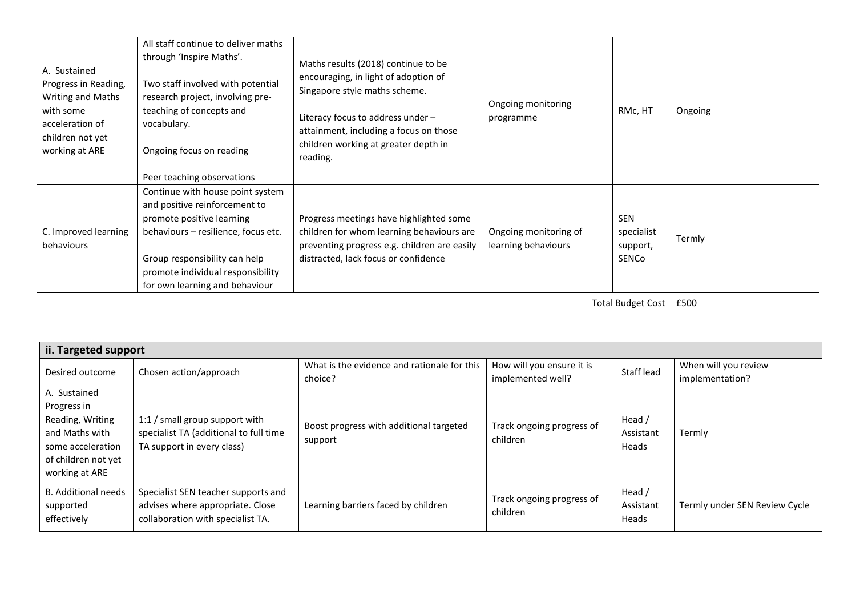| A. Sustained<br>Progress in Reading,<br>Writing and Maths<br>with some<br>acceleration of<br>children not yet<br>working at ARE | All staff continue to deliver maths<br>through 'Inspire Maths'.<br>Two staff involved with potential<br>research project, involving pre-<br>teaching of concepts and<br>vocabulary.<br>Ongoing focus on reading<br>Peer teaching observations | Maths results (2018) continue to be<br>encouraging, in light of adoption of<br>Singapore style maths scheme.<br>Literacy focus to address under -<br>attainment, including a focus on those<br>children working at greater depth in<br>reading. | Ongoing monitoring<br>programme              | RMc, HT                                       | Ongoing |
|---------------------------------------------------------------------------------------------------------------------------------|-----------------------------------------------------------------------------------------------------------------------------------------------------------------------------------------------------------------------------------------------|-------------------------------------------------------------------------------------------------------------------------------------------------------------------------------------------------------------------------------------------------|----------------------------------------------|-----------------------------------------------|---------|
| C. Improved learning<br>behaviours                                                                                              | Continue with house point system<br>and positive reinforcement to<br>promote positive learning<br>behaviours - resilience, focus etc.<br>Group responsibility can help<br>promote individual responsibility<br>for own learning and behaviour | Progress meetings have highlighted some<br>children for whom learning behaviours are<br>preventing progress e.g. children are easily<br>distracted, lack focus or confidence                                                                    | Ongoing monitoring of<br>learning behaviours | <b>SEN</b><br>specialist<br>support,<br>SENCo | Termly  |
|                                                                                                                                 |                                                                                                                                                                                                                                               |                                                                                                                                                                                                                                                 |                                              | <b>Total Budget Cost</b>                      | £500    |

| ii. Targeted support                                                                                                            |                                                                                                              |                                                        |                                                |                              |                                         |  |
|---------------------------------------------------------------------------------------------------------------------------------|--------------------------------------------------------------------------------------------------------------|--------------------------------------------------------|------------------------------------------------|------------------------------|-----------------------------------------|--|
| Desired outcome                                                                                                                 | Chosen action/approach                                                                                       | What is the evidence and rationale for this<br>choice? | How will you ensure it is<br>implemented well? | Staff lead                   | When will you review<br>implementation? |  |
| A. Sustained<br>Progress in<br>Reading, Writing<br>and Maths with<br>some acceleration<br>of children not yet<br>working at ARE | 1:1 / small group support with<br>specialist TA (additional to full time<br>TA support in every class)       | Boost progress with additional targeted<br>support     | Track ongoing progress of<br>children          | Head /<br>Assistant<br>Heads | Termly                                  |  |
| <b>B.</b> Additional needs<br>supported<br>effectively                                                                          | Specialist SEN teacher supports and<br>advises where appropriate. Close<br>collaboration with specialist TA. | Learning barriers faced by children                    | Track ongoing progress of<br>children          | Head /<br>Assistant<br>Heads | Termly under SEN Review Cycle           |  |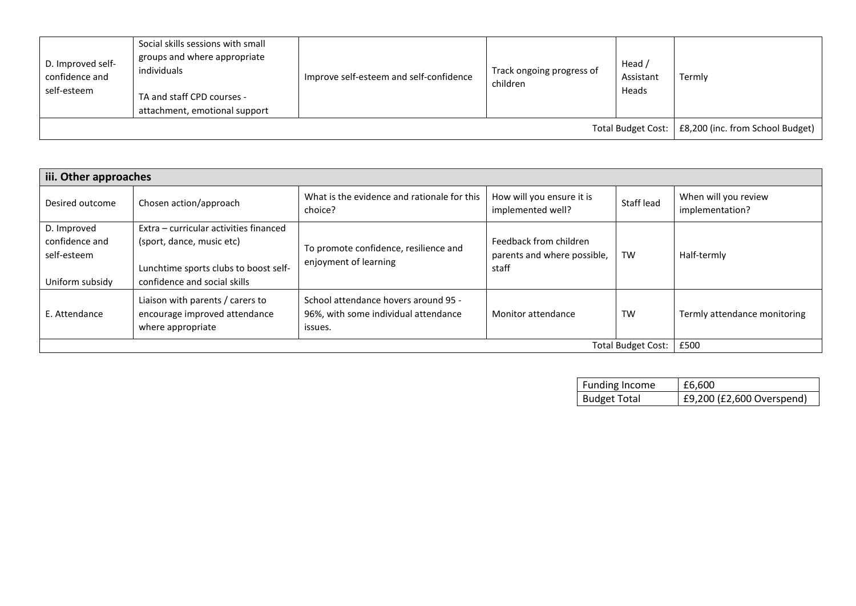| D. Improved self-<br>confidence and<br>self-esteem | Social skills sessions with small<br>groups and where appropriate<br>individuals<br>TA and staff CPD courses -<br>attachment, emotional support | Improve self-esteem and self-confidence | Track ongoing progress of<br>children | Head /<br>Assistant<br>Heads | Termly                           |
|----------------------------------------------------|-------------------------------------------------------------------------------------------------------------------------------------------------|-----------------------------------------|---------------------------------------|------------------------------|----------------------------------|
|                                                    |                                                                                                                                                 |                                         |                                       | <b>Total Budget Cost:</b>    | £8,200 (inc. from School Budget) |

| iii. Other approaches                                           |                                                                                                                                              |                                                                                         |                                                                |                           |                                         |  |
|-----------------------------------------------------------------|----------------------------------------------------------------------------------------------------------------------------------------------|-----------------------------------------------------------------------------------------|----------------------------------------------------------------|---------------------------|-----------------------------------------|--|
| Desired outcome                                                 | Chosen action/approach                                                                                                                       | What is the evidence and rationale for this<br>choice?                                  | How will you ensure it is<br>implemented well?                 | Staff lead                | When will you review<br>implementation? |  |
| D. Improved<br>confidence and<br>self-esteem<br>Uniform subsidy | Extra – curricular activities financed<br>(sport, dance, music etc)<br>Lunchtime sports clubs to boost self-<br>confidence and social skills | To promote confidence, resilience and<br>enjoyment of learning                          | Feedback from children<br>parents and where possible,<br>staff | <b>TW</b>                 | Half-termly                             |  |
| E. Attendance                                                   | Liaison with parents / carers to<br>encourage improved attendance<br>where appropriate                                                       | School attendance hovers around 95 -<br>96%, with some individual attendance<br>issues. | Monitor attendance                                             | <b>TW</b>                 | Termly attendance monitoring            |  |
|                                                                 |                                                                                                                                              |                                                                                         |                                                                | <b>Total Budget Cost:</b> | £500                                    |  |

| Funding Income      | £6.600                    |
|---------------------|---------------------------|
| <b>Budget Total</b> | £9,200 (£2,600 Overspend) |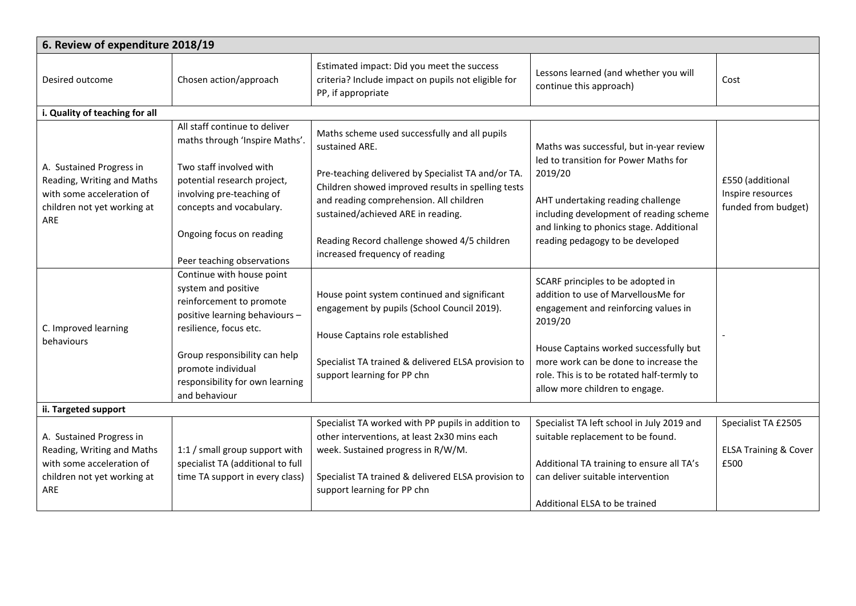| 6. Review of expenditure 2018/19                                                                                          |                                                                                                                                                                                                                                                     |                                                                                                                                                                                                                                                                                                                                                |                                                                                                                                                                                                                                                                                                |                                                                 |  |  |
|---------------------------------------------------------------------------------------------------------------------------|-----------------------------------------------------------------------------------------------------------------------------------------------------------------------------------------------------------------------------------------------------|------------------------------------------------------------------------------------------------------------------------------------------------------------------------------------------------------------------------------------------------------------------------------------------------------------------------------------------------|------------------------------------------------------------------------------------------------------------------------------------------------------------------------------------------------------------------------------------------------------------------------------------------------|-----------------------------------------------------------------|--|--|
| Desired outcome                                                                                                           | Chosen action/approach                                                                                                                                                                                                                              | Estimated impact: Did you meet the success<br>criteria? Include impact on pupils not eligible for<br>PP, if appropriate                                                                                                                                                                                                                        | Lessons learned (and whether you will<br>continue this approach)                                                                                                                                                                                                                               | Cost                                                            |  |  |
| i. Quality of teaching for all                                                                                            |                                                                                                                                                                                                                                                     |                                                                                                                                                                                                                                                                                                                                                |                                                                                                                                                                                                                                                                                                |                                                                 |  |  |
| A. Sustained Progress in<br>Reading, Writing and Maths<br>with some acceleration of<br>children not yet working at<br>ARE | All staff continue to deliver<br>maths through 'Inspire Maths'.<br>Two staff involved with<br>potential research project,<br>involving pre-teaching of<br>concepts and vocabulary.<br>Ongoing focus on reading<br>Peer teaching observations        | Maths scheme used successfully and all pupils<br>sustained ARE.<br>Pre-teaching delivered by Specialist TA and/or TA.<br>Children showed improved results in spelling tests<br>and reading comprehension. All children<br>sustained/achieved ARE in reading.<br>Reading Record challenge showed 4/5 children<br>increased frequency of reading | Maths was successful, but in-year review<br>led to transition for Power Maths for<br>2019/20<br>AHT undertaking reading challenge<br>including development of reading scheme<br>and linking to phonics stage. Additional<br>reading pedagogy to be developed                                   | £550 (additional<br>Inspire resources<br>funded from budget)    |  |  |
| C. Improved learning<br>behaviours                                                                                        | Continue with house point<br>system and positive<br>reinforcement to promote<br>positive learning behaviours -<br>resilience, focus etc.<br>Group responsibility can help<br>promote individual<br>responsibility for own learning<br>and behaviour | House point system continued and significant<br>engagement by pupils (School Council 2019).<br>House Captains role established<br>Specialist TA trained & delivered ELSA provision to<br>support learning for PP chn                                                                                                                           | SCARF principles to be adopted in<br>addition to use of MarvellousMe for<br>engagement and reinforcing values in<br>2019/20<br>House Captains worked successfully but<br>more work can be done to increase the<br>role. This is to be rotated half-termly to<br>allow more children to engage. |                                                                 |  |  |
| ii. Targeted support                                                                                                      |                                                                                                                                                                                                                                                     |                                                                                                                                                                                                                                                                                                                                                |                                                                                                                                                                                                                                                                                                |                                                                 |  |  |
| A. Sustained Progress in<br>Reading, Writing and Maths<br>with some acceleration of<br>children not yet working at<br>ARE | 1:1 / small group support with<br>specialist TA (additional to full<br>time TA support in every class)                                                                                                                                              | Specialist TA worked with PP pupils in addition to<br>other interventions, at least 2x30 mins each<br>week. Sustained progress in R/W/M.<br>Specialist TA trained & delivered ELSA provision to<br>support learning for PP chn                                                                                                                 | Specialist TA left school in July 2019 and<br>suitable replacement to be found.<br>Additional TA training to ensure all TA's<br>can deliver suitable intervention<br>Additional ELSA to be trained                                                                                             | Specialist TA £2505<br><b>ELSA Training &amp; Cover</b><br>£500 |  |  |